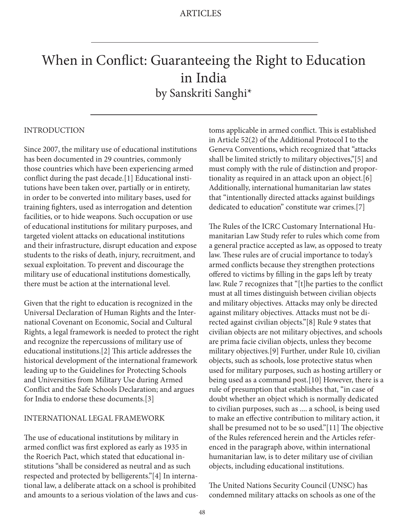# When in Conflict: Guaranteeing the Right to Education in India by Sanskriti Sanghi\*

#### INTRODUCTION

Since 2007, the military use of educational institutions has been documented in 29 countries, commonly those countries which have been experiencing armed conflict during the past decade.[1] Educational institutions have been taken over, partially or in entirety, in order to be converted into military bases, used for training fighters, used as interrogation and detention facilities, or to hide weapons. Such occupation or use of educational institutions for military purposes, and targeted violent attacks on educational institutions and their infrastructure, disrupt education and expose students to the risks of death, injury, recruitment, and sexual exploitation. To prevent and discourage the military use of educational institutions domestically, there must be action at the international level.

Given that the right to education is recognized in the Universal Declaration of Human Rights and the International Covenant on Economic, Social and Cultural Rights, a legal framework is needed to protect the right and recognize the repercussions of military use of educational institutions.[2] This article addresses the historical development of the international framework leading up to the Guidelines for Protecting Schools and Universities from Military Use during Armed Conflict and the Safe Schools Declaration; and argues for India to endorse these documents.[3]

#### INTERNATIONAL LEGAL FRAMEWORK

The use of educational institutions by military in armed conflict was first explored as early as 1935 in the Roerich Pact, which stated that educational institutions "shall be considered as neutral and as such respected and protected by belligerents."[4] In international law, a deliberate attack on a school is prohibited and amounts to a serious violation of the laws and customs applicable in armed conflict. This is established in Article 52(2) of the Additional Protocol I to the Geneva Conventions, which recognized that "attacks shall be limited strictly to military objectives,"[5] and must comply with the rule of distinction and proportionality as required in an attack upon an object.[6] Additionally, international humanitarian law states that "intentionally directed attacks against buildings dedicated to education" constitute war crimes.[7]

The Rules of the ICRC Customary International Humanitarian Law Study refer to rules which come from a general practice accepted as law, as opposed to treaty law. These rules are of crucial importance to today's armed conflicts because they strengthen protections offered to victims by filling in the gaps left by treaty law. Rule 7 recognizes that "[t]he parties to the conflict must at all times distinguish between civilian objects and military objectives. Attacks may only be directed against military objectives. Attacks must not be directed against civilian objects."[8] Rule 9 states that civilian objects are not military objectives, and schools are prima facie civilian objects, unless they become military objectives.[9] Further, under Rule 10, civilian objects, such as schools, lose protective status when used for military purposes, such as hosting artillery or being used as a command post.[10] However, there is a rule of presumption that establishes that, "in case of doubt whether an object which is normally dedicated to civilian purposes, such as .... a school, is being used to make an effective contribution to military action, it shall be presumed not to be so used."[11] The objective of the Rules referenced herein and the Articles referenced in the paragraph above, within international humanitarian law, is to deter military use of civilian objects, including educational institutions.

The United Nations Security Council (UNSC) has condemned military attacks on schools as one of the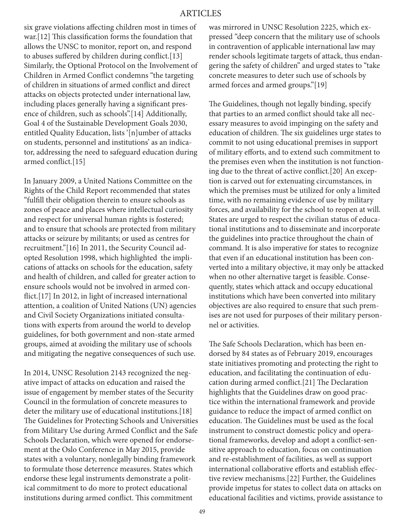six grave violations affecting children most in times of war.[12] This classification forms the foundation that allows the UNSC to monitor, report on, and respond to abuses suffered by children during conflict.[13] Similarly, the Optional Protocol on the Involvement of Children in Armed Conflict condemns "the targeting of children in situations of armed conflict and direct attacks on objects protected under international law, including places generally having a significant presence of children, such as schools".[14] Additionally, Goal 4 of the Sustainable Development Goals 2030, entitled Quality Education, lists '[n]umber of attacks on students, personnel and institutions' as an indicator, addressing the need to safeguard education during armed conflict.[15]

In January 2009, a United Nations Committee on the Rights of the Child Report recommended that states "fulfill their obligation therein to ensure schools as zones of peace and places where intellectual curiosity and respect for universal human rights is fostered; and to ensure that schools are protected from military attacks or seizure by militants; or used as centres for recruitment."[16] In 2011, the Security Council adopted Resolution 1998, which highlighted the implications of attacks on schools for the education, safety and health of children, and called for greater action to ensure schools would not be involved in armed conflict.[17] In 2012, in light of increased international attention, a coalition of United Nations (UN) agencies and Civil Society Organizations initiated consultations with experts from around the world to develop guidelines, for both government and non-state armed groups, aimed at avoiding the military use of schools and mitigating the negative consequences of such use.

In 2014, UNSC Resolution 2143 recognized the negative impact of attacks on education and raised the issue of engagement by member states of the Security Council in the formulation of concrete measures to deter the military use of educational institutions.[18] The Guidelines for Protecting Schools and Universities from Military Use during Armed Conflict and the Safe Schools Declaration, which were opened for endorsement at the Oslo Conference in May 2015, provide states with a voluntary, nonlegally binding framework to formulate those deterrence measures. States which endorse these legal instruments demonstrate a political commitment to do more to protect educational institutions during armed conflict. This commitment

was mirrored in UNSC Resolution 2225, which expressed "deep concern that the military use of schools in contravention of applicable international law may render schools legitimate targets of attack, thus endangering the safety of children" and urged states to "take concrete measures to deter such use of schools by armed forces and armed groups."[19]

The Guidelines, though not legally binding, specify that parties to an armed conflict should take all necessary measures to avoid impinging on the safety and education of children. The six guidelines urge states to commit to not using educational premises in support of military efforts, and to extend such commitment to the premises even when the institution is not functioning due to the threat of active conflict.[20] An exception is carved out for extenuating circumstances, in which the premises must be utilized for only a limited time, with no remaining evidence of use by military forces, and availability for the school to reopen at will. States are urged to respect the civilian status of educational institutions and to disseminate and incorporate the guidelines into practice throughout the chain of command. It is also imperative for states to recognize that even if an educational institution has been converted into a military objective, it may only be attacked when no other alternative target is feasible. Consequently, states which attack and occupy educational institutions which have been converted into military objectives are also required to ensure that such premises are not used for purposes of their military personnel or activities.

The Safe Schools Declaration, which has been endorsed by 84 states as of February 2019, encourages state initiatives promoting and protecting the right to education, and facilitating the continuation of education during armed conflict.[21] The Declaration highlights that the Guidelines draw on good practice within the international framework and provide guidance to reduce the impact of armed conflict on education. The Guidelines must be used as the focal instrument to construct domestic policy and operational frameworks, develop and adopt a conflict-sensitive approach to education, focus on continuation and re-establishment of facilities, as well as support international collaborative efforts and establish effective review mechanisms.[22] Further, the Guidelines provide impetus for states to collect data on attacks on educational facilities and victims, provide assistance to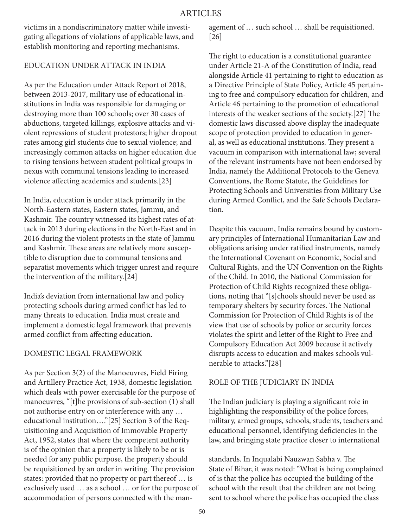victims in a nondiscriminatory matter while investigating allegations of violations of applicable laws, and establish monitoring and reporting mechanisms.

### EDUCATION UNDER ATTACK IN INDIA

As per the Education under Attack Report of 2018, between 2013-2017, military use of educational institutions in India was responsible for damaging or destroying more than 100 schools; over 30 cases of abductions, targeted killings, explosive attacks and violent repressions of student protestors; higher dropout rates among girl students due to sexual violence; and increasingly common attacks on higher education due to rising tensions between student political groups in nexus with communal tensions leading to increased violence affecting academics and students.[23]

In India, education is under attack primarily in the North-Eastern states, Eastern states, Jammu, and Kashmir. The country witnessed its highest rates of attack in 2013 during elections in the North-East and in 2016 during the violent protests in the state of Jammu and Kashmir. These areas are relatively more susceptible to disruption due to communal tensions and separatist movements which trigger unrest and require the intervention of the military.[24]

India's deviation from international law and policy protecting schools during armed conflict has led to many threats to education. India must create and implement a domestic legal framework that prevents armed conflict from affecting education.

## DOMESTIC LEGAL FRAMEWORK

As per Section 3(2) of the Manoeuvres, Field Firing and Artillery Practice Act, 1938, domestic legislation which deals with power exercisable for the purpose of manoeuvres, "[t]he provisions of sub-section (1) shall not authorise entry on or interference with any … educational institution…."[25] Section 3 of the Requisitioning and Acquisition of Immovable Property Act, 1952, states that where the competent authority is of the opinion that a property is likely to be or is needed for any public purpose, the property should be requisitioned by an order in writing. The provision states: provided that no property or part thereof … is exclusively used … as a school … or for the purpose of accommodation of persons connected with the management of … such school … shall be requisitioned. [26]

The right to education is a constitutional guarantee under Article 21-A of the Constitution of India, read alongside Article 41 pertaining to right to education as a Directive Principle of State Policy, Article 45 pertaining to free and compulsory education for children, and Article 46 pertaining to the promotion of educational interests of the weaker sections of the society.[27] The domestic laws discussed above display the inadequate scope of protection provided to education in general, as well as educational institutions. They present a vacuum in comparison with international law; several of the relevant instruments have not been endorsed by India, namely the Additional Protocols to the Geneva Conventions, the Rome Statute, the Guidelines for Protecting Schools and Universities from Military Use during Armed Conflict, and the Safe Schools Declaration.

Despite this vacuum, India remains bound by customary principles of International Humanitarian Law and obligations arising under ratified instruments, namely the International Covenant on Economic, Social and Cultural Rights, and the UN Convention on the Rights of the Child. In 2010, the National Commission for Protection of Child Rights recognized these obligations, noting that "[s]chools should never be used as temporary shelters by security forces. The National Commission for Protection of Child Rights is of the view that use of schools by police or security forces violates the spirit and letter of the Right to Free and Compulsory Education Act 2009 because it actively disrupts access to education and makes schools vulnerable to attacks."[28]

#### ROLE OF THE JUDICIARY IN INDIA

The Indian judiciary is playing a significant role in highlighting the responsibility of the police forces, military, armed groups, schools, students, teachers and educational personnel, identifying deficiencies in the law, and bringing state practice closer to international

standards. In Inqualabi Nauzwan Sabha v. The State of Bihar, it was noted: "What is being complained of is that the police has occupied the building of the school with the result that the children are not being sent to school where the police has occupied the class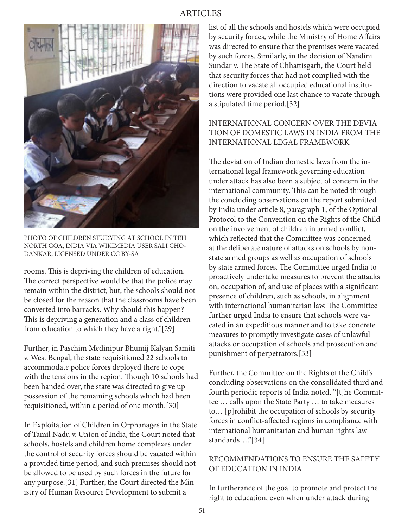## ARTICLES



PHOTO OF CHILDREN STUDYING AT SCHOOL IN TEH NORTH GOA, INDIA VIA WIKIMEDIA USER SALI CHO-DANKAR, LICENSED UNDER CC BY-SA

rooms. This is depriving the children of education. The correct perspective would be that the police may remain within the district; but, the schools should not be closed for the reason that the classrooms have been converted into barracks. Why should this happen? This is depriving a generation and a class of children from education to which they have a right."[29]

Further, in Paschim Medinipur Bhumij Kalyan Samiti v. West Bengal, the state requisitioned 22 schools to accommodate police forces deployed there to cope with the tensions in the region. Though 10 schools had been handed over, the state was directed to give up possession of the remaining schools which had been requisitioned, within a period of one month.[30]

In Exploitation of Children in Orphanages in the State of Tamil Nadu v. Union of India, the Court noted that schools, hostels and children home complexes under the control of security forces should be vacated within a provided time period, and such premises should not be allowed to be used by such forces in the future for any purpose.[31] Further, the Court directed the Ministry of Human Resource Development to submit a

list of all the schools and hostels which were occupied by security forces, while the Ministry of Home Affairs was directed to ensure that the premises were vacated by such forces. Similarly, in the decision of Nandini Sundar v. The State of Chhattisgarh, the Court held that security forces that had not complied with the direction to vacate all occupied educational institutions were provided one last chance to vacate through a stipulated time period.[32]

## INTERNATIONAL CONCERN OVER THE DEVIA-TION OF DOMESTIC LAWS IN INDIA FROM THE INTERNATIONAL LEGAL FRAMEWORK

The deviation of Indian domestic laws from the international legal framework governing education under attack has also been a subject of concern in the international community. This can be noted through the concluding observations on the report submitted by India under article 8, paragraph 1, of the Optional Protocol to the Convention on the Rights of the Child on the involvement of children in armed conflict, which reflected that the Committee was concerned at the deliberate nature of attacks on schools by nonstate armed groups as well as occupation of schools by state armed forces. The Committee urged India to proactively undertake measures to prevent the attacks on, occupation of, and use of places with a significant presence of children, such as schools, in alignment with international humanitarian law. The Committee further urged India to ensure that schools were vacated in an expeditious manner and to take concrete measures to promptly investigate cases of unlawful attacks or occupation of schools and prosecution and punishment of perpetrators.[33]

Further, the Committee on the Rights of the Child's concluding observations on the consolidated third and fourth periodic reports of India noted, "[t]he Committee … calls upon the State Party … to take measures to… [p]rohibit the occupation of schools by security forces in conflict-affected regions in compliance with international humanitarian and human rights law standards…."[34]

## RECOMMENDATIONS TO ENSURE THE SAFETY OF EDUCAITON IN INDIA

In furtherance of the goal to promote and protect the right to education, even when under attack during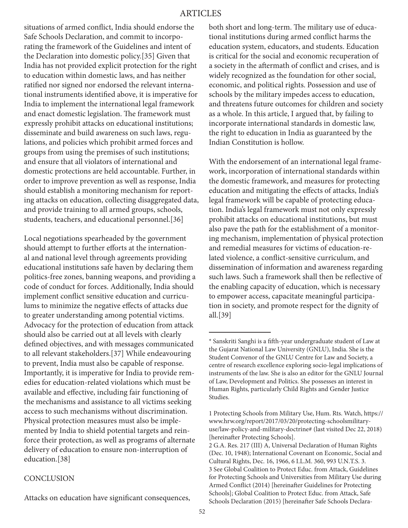situations of armed conflict, India should endorse the Safe Schools Declaration, and commit to incorporating the framework of the Guidelines and intent of the Declaration into domestic policy.[35] Given that India has not provided explicit protection for the right to education within domestic laws, and has neither ratified nor signed nor endorsed the relevant international instruments identified above, it is imperative for India to implement the international legal framework and enact domestic legislation. The framework must expressly prohibit attacks on educational institutions; disseminate and build awareness on such laws, regulations, and policies which prohibit armed forces and groups from using the premises of such institutions; and ensure that all violators of international and domestic protections are held accountable. Further, in order to improve prevention as well as response, India should establish a monitoring mechanism for reporting attacks on education, collecting disaggregated data, and provide training to all armed groups, schools, students, teachers, and educational personnel.[36]

Local negotiations spearheaded by the government should attempt to further efforts at the international and national level through agreements providing educational institutions safe haven by declaring them politics-free zones, banning weapons, and providing a code of conduct for forces. Additionally, India should implement conflict sensitive education and curriculums to minimize the negative effects of attacks due to greater understanding among potential victims. Advocacy for the protection of education from attack should also be carried out at all levels with clearly defined objectives, and with messages communicated to all relevant stakeholders.[37] While endeavouring to prevent, India must also be capable of response. Importantly, it is imperative for India to provide remedies for education-related violations which must be available and effective, including fair functioning of the mechanisms and assistance to all victims seeking access to such mechanisms without discrimination. Physical protection measures must also be implemented by India to shield potential targets and reinforce their protection, as well as programs of alternate delivery of education to ensure non-interruption of education.[38]

#### **CONCLUSION**

Attacks on education have significant consequences,

both short and long-term. The military use of educational institutions during armed conflict harms the education system, educators, and students. Education is critical for the social and economic recuperation of a society in the aftermath of conflict and crises, and is widely recognized as the foundation for other social, economic, and political rights. Possession and use of schools by the military impedes access to education, and threatens future outcomes for children and society as a whole. In this article, I argued that, by failing to incorporate international standards in domestic law, the right to education in India as guaranteed by the Indian Constitution is hollow.

With the endorsement of an international legal framework, incorporation of international standards within the domestic framework, and measures for protecting education and mitigating the effects of attacks, India's legal framework will be capable of protecting education. India's legal framework must not only expressly prohibit attacks on educational institutions, but must also pave the path for the establishment of a monitoring mechanism, implementation of physical protection and remedial measures for victims of education-related violence, a conflict-sensitive curriculum, and dissemination of information and awareness regarding such laws. Such a framework shall then be reflective of the enabling capacity of education, which is necessary to empower access, capacitate meaningful participation in society, and promote respect for the dignity of all.[39]

<sup>\*</sup> Sanskriti Sanghi is a fifth-year undergraduate student of Law at the Gujarat National Law University (GNLU), India. She is the Student Convenor of the GNLU Centre for Law and Society, a centre of research excellence exploring socio-legal implications of instruments of the law. She is also an editor for the GNLU Journal of Law, Development and Politics. She possesses an interest in Human Rights, particularly Child Rights and Gender Justice Studies.

<sup>1</sup> Protecting Schools from Military Use, Hum. Rts. Watch, https:// www.hrw.org/report/2017/03/20/protecting-schoolsmilitaryuse/law-policy-and-military-doctrine# (last visited Dec 22, 2018) [hereinafter Protecting Schools].

<sup>2</sup> G.A. Res. 217 (III) A, Universal Declaration of Human Rights (Dec. 10, 1948); International Covenant on Economic, Social and Cultural Rights, Dec. 16, 1966, 6 I.L.M. 360, 993 U.N.T.S. 3. 3 See Global Coalition to Protect Educ. from Attack, Guidelines for Protecting Schools and Universities from Military Use during Armed Conflict (2014) [hereinafter Guidelines for Protecting Schools]; Global Coalition to Protect Educ. from Attack, Safe Schools Declaration (2015) [hereinafter Safe Schools Declara-